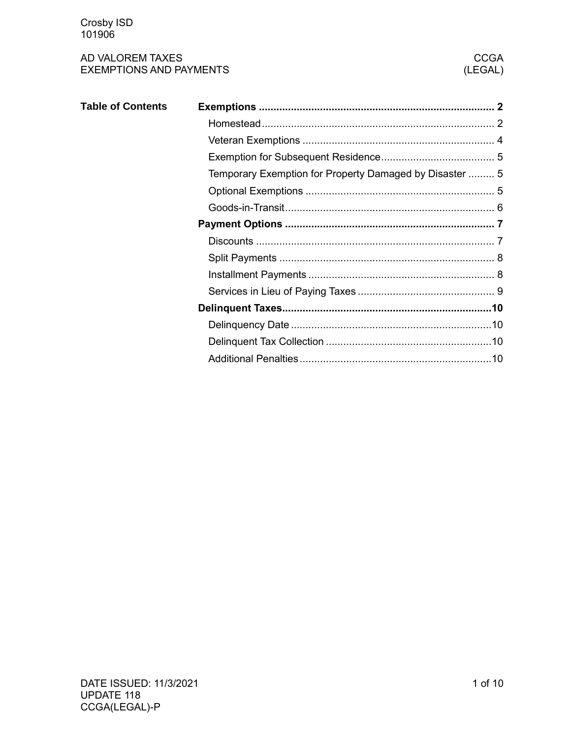| <b>Table of Contents</b> |                                                         |  |
|--------------------------|---------------------------------------------------------|--|
|                          |                                                         |  |
|                          |                                                         |  |
|                          |                                                         |  |
|                          | Temporary Exemption for Property Damaged by Disaster  5 |  |
|                          |                                                         |  |
|                          |                                                         |  |
|                          |                                                         |  |
|                          |                                                         |  |
|                          |                                                         |  |
|                          |                                                         |  |
|                          |                                                         |  |
|                          |                                                         |  |
|                          |                                                         |  |
|                          |                                                         |  |
|                          |                                                         |  |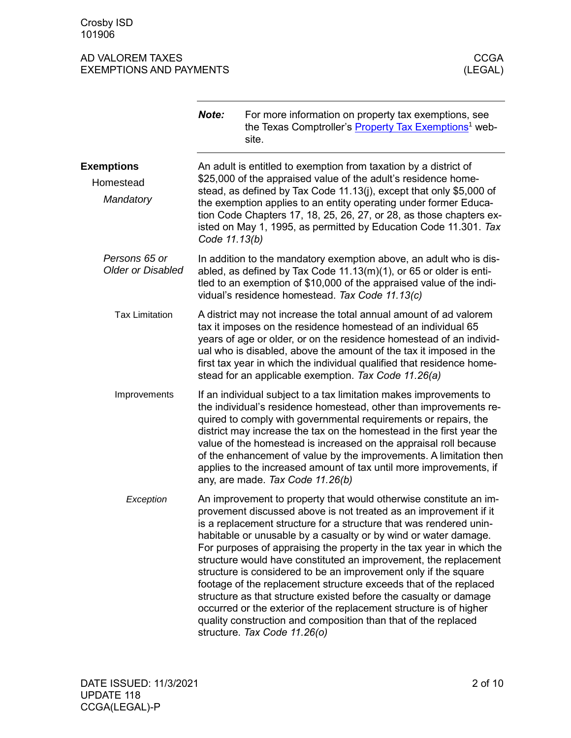<span id="page-1-1"></span><span id="page-1-0"></span>

|                                           | Note:                                                                                                                                                                                                                                                                                                                                                                 | For more information on property tax exemptions, see<br>the Texas Comptroller's <b>Property Tax Exemptions<sup>1</sup></b> web-<br>site.                                                                                                                                                                                                                                                                                                                                                                                                                                                                                                                                                                                                                                                                        |  |
|-------------------------------------------|-----------------------------------------------------------------------------------------------------------------------------------------------------------------------------------------------------------------------------------------------------------------------------------------------------------------------------------------------------------------------|-----------------------------------------------------------------------------------------------------------------------------------------------------------------------------------------------------------------------------------------------------------------------------------------------------------------------------------------------------------------------------------------------------------------------------------------------------------------------------------------------------------------------------------------------------------------------------------------------------------------------------------------------------------------------------------------------------------------------------------------------------------------------------------------------------------------|--|
| <b>Exemptions</b>                         |                                                                                                                                                                                                                                                                                                                                                                       | An adult is entitled to exemption from taxation by a district of                                                                                                                                                                                                                                                                                                                                                                                                                                                                                                                                                                                                                                                                                                                                                |  |
| Homestead<br>Mandatory                    | \$25,000 of the appraised value of the adult's residence home-<br>stead, as defined by Tax Code 11.13(j), except that only \$5,000 of<br>the exemption applies to an entity operating under former Educa-<br>tion Code Chapters 17, 18, 25, 26, 27, or 28, as those chapters ex-<br>isted on May 1, 1995, as permitted by Education Code 11.301. Tax<br>Code 11.13(b) |                                                                                                                                                                                                                                                                                                                                                                                                                                                                                                                                                                                                                                                                                                                                                                                                                 |  |
| Persons 65 or<br><b>Older or Disabled</b> | In addition to the mandatory exemption above, an adult who is dis-<br>abled, as defined by Tax Code $11.13(m)(1)$ , or 65 or older is enti-<br>tled to an exemption of \$10,000 of the appraised value of the indi-<br>vidual's residence homestead. Tax Code 11.13(c)                                                                                                |                                                                                                                                                                                                                                                                                                                                                                                                                                                                                                                                                                                                                                                                                                                                                                                                                 |  |
| <b>Tax Limitation</b>                     |                                                                                                                                                                                                                                                                                                                                                                       | A district may not increase the total annual amount of ad valorem<br>tax it imposes on the residence homestead of an individual 65<br>years of age or older, or on the residence homestead of an individ-<br>ual who is disabled, above the amount of the tax it imposed in the<br>first tax year in which the individual qualified that residence home-<br>stead for an applicable exemption. Tax Code 11.26(a)                                                                                                                                                                                                                                                                                                                                                                                                |  |
| Improvements                              |                                                                                                                                                                                                                                                                                                                                                                       | If an individual subject to a tax limitation makes improvements to<br>the individual's residence homestead, other than improvements re-<br>quired to comply with governmental requirements or repairs, the<br>district may increase the tax on the homestead in the first year the<br>value of the homestead is increased on the appraisal roll because<br>of the enhancement of value by the improvements. A limitation then<br>applies to the increased amount of tax until more improvements, if<br>any, are made. Tax Code 11.26(b)                                                                                                                                                                                                                                                                         |  |
| Exception                                 |                                                                                                                                                                                                                                                                                                                                                                       | An improvement to property that would otherwise constitute an im-<br>provement discussed above is not treated as an improvement if it<br>is a replacement structure for a structure that was rendered unin-<br>habitable or unusable by a casualty or by wind or water damage.<br>For purposes of appraising the property in the tax year in which the<br>structure would have constituted an improvement, the replacement<br>structure is considered to be an improvement only if the square<br>footage of the replacement structure exceeds that of the replaced<br>structure as that structure existed before the casualty or damage<br>occurred or the exterior of the replacement structure is of higher<br>quality construction and composition than that of the replaced<br>structure. Tax Code 11.26(o) |  |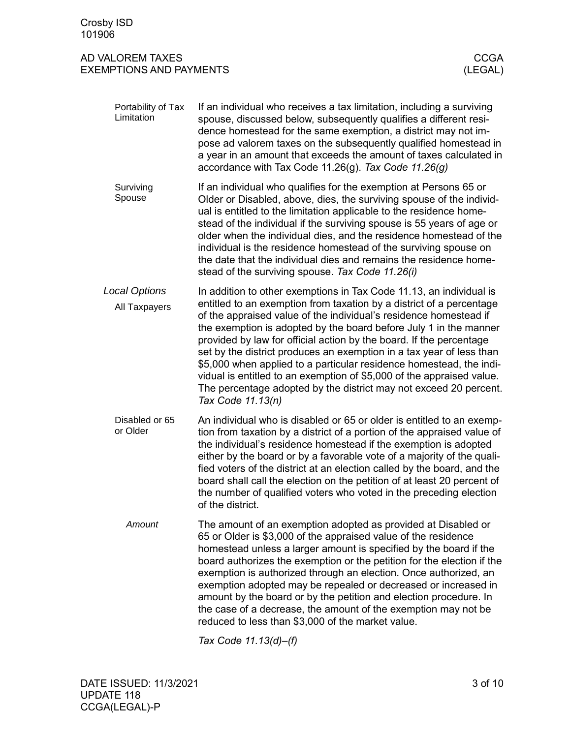| Portability of Tax<br>Limitation      | If an individual who receives a tax limitation, including a surviving<br>spouse, discussed below, subsequently qualifies a different resi-<br>dence homestead for the same exemption, a district may not im-<br>pose ad valorem taxes on the subsequently qualified homestead in<br>a year in an amount that exceeds the amount of taxes calculated in<br>accordance with Tax Code 11.26(g). Tax Code $11.26(g)$                                                                                                                                                                                                                                                               |
|---------------------------------------|--------------------------------------------------------------------------------------------------------------------------------------------------------------------------------------------------------------------------------------------------------------------------------------------------------------------------------------------------------------------------------------------------------------------------------------------------------------------------------------------------------------------------------------------------------------------------------------------------------------------------------------------------------------------------------|
| Surviving<br>Spouse                   | If an individual who qualifies for the exemption at Persons 65 or<br>Older or Disabled, above, dies, the surviving spouse of the individ-<br>ual is entitled to the limitation applicable to the residence home-<br>stead of the individual if the surviving spouse is 55 years of age or<br>older when the individual dies, and the residence homestead of the<br>individual is the residence homestead of the surviving spouse on<br>the date that the individual dies and remains the residence home-<br>stead of the surviving spouse. Tax Code 11.26(i)                                                                                                                   |
| <b>Local Options</b><br>All Taxpayers | In addition to other exemptions in Tax Code 11.13, an individual is<br>entitled to an exemption from taxation by a district of a percentage<br>of the appraised value of the individual's residence homestead if<br>the exemption is adopted by the board before July 1 in the manner<br>provided by law for official action by the board. If the percentage<br>set by the district produces an exemption in a tax year of less than<br>\$5,000 when applied to a particular residence homestead, the indi-<br>vidual is entitled to an exemption of \$5,000 of the appraised value.<br>The percentage adopted by the district may not exceed 20 percent.<br>Tax Code 11.13(n) |
| Disabled or 65<br>or Older            | An individual who is disabled or 65 or older is entitled to an exemp-<br>tion from taxation by a district of a portion of the appraised value of<br>the individual's residence homestead if the exemption is adopted<br>either by the board or by a favorable vote of a majority of the quali-<br>fied voters of the district at an election called by the board, and the<br>board shall call the election on the petition of at least 20 percent of<br>the number of qualified voters who voted in the preceding election<br>of the district.                                                                                                                                 |
| Amount                                | The amount of an exemption adopted as provided at Disabled or<br>65 or Older is \$3,000 of the appraised value of the residence<br>homestead unless a larger amount is specified by the board if the<br>board authorizes the exemption or the petition for the election if the<br>exemption is authorized through an election. Once authorized, an<br>exemption adopted may be repealed or decreased or increased in<br>amount by the board or by the petition and election procedure. In<br>the case of a decrease, the amount of the exemption may not be<br>reduced to less than \$3,000 of the market value.                                                               |

*Tax Code 11.13(d)–(f)*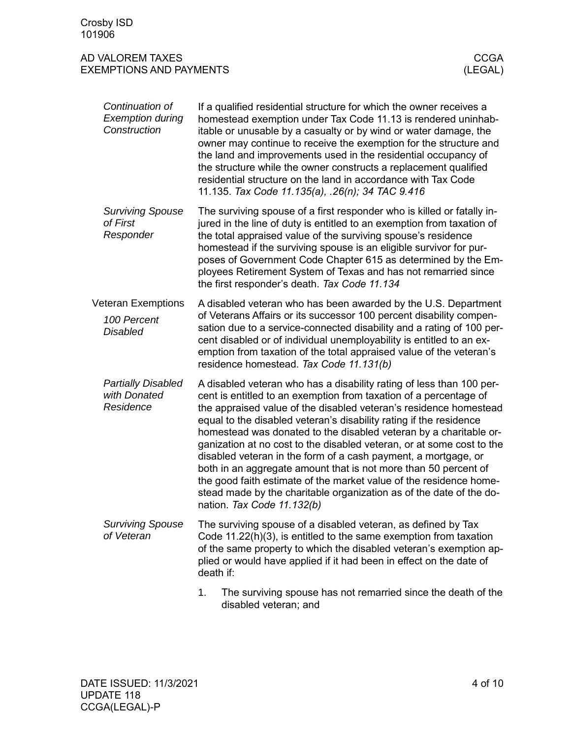<span id="page-3-0"></span>

| Continuation of<br><b>Exemption during</b><br>Construction  | If a qualified residential structure for which the owner receives a<br>homestead exemption under Tax Code 11.13 is rendered uninhab-<br>itable or unusable by a casualty or by wind or water damage, the<br>owner may continue to receive the exemption for the structure and<br>the land and improvements used in the residential occupancy of<br>the structure while the owner constructs a replacement qualified<br>residential structure on the land in accordance with Tax Code<br>11.135. Tax Code 11.135(a), .26(n); 34 TAC 9.416                                                                                                                                                                                                           |
|-------------------------------------------------------------|----------------------------------------------------------------------------------------------------------------------------------------------------------------------------------------------------------------------------------------------------------------------------------------------------------------------------------------------------------------------------------------------------------------------------------------------------------------------------------------------------------------------------------------------------------------------------------------------------------------------------------------------------------------------------------------------------------------------------------------------------|
| <b>Surviving Spouse</b><br>of First<br>Responder            | The surviving spouse of a first responder who is killed or fatally in-<br>jured in the line of duty is entitled to an exemption from taxation of<br>the total appraised value of the surviving spouse's residence<br>homestead if the surviving spouse is an eligible survivor for pur-<br>poses of Government Code Chapter 615 as determined by the Em-<br>ployees Retirement System of Texas and has not remarried since<br>the first responder's death. Tax Code 11.134                                                                                                                                                                                                                                                                         |
| <b>Veteran Exemptions</b><br>100 Percent<br><b>Disabled</b> | A disabled veteran who has been awarded by the U.S. Department<br>of Veterans Affairs or its successor 100 percent disability compen-<br>sation due to a service-connected disability and a rating of 100 per-<br>cent disabled or of individual unemployability is entitled to an ex-<br>emption from taxation of the total appraised value of the veteran's<br>residence homestead. Tax Code 11.131(b)                                                                                                                                                                                                                                                                                                                                           |
| <b>Partially Disabled</b><br>with Donated<br>Residence      | A disabled veteran who has a disability rating of less than 100 per-<br>cent is entitled to an exemption from taxation of a percentage of<br>the appraised value of the disabled veteran's residence homestead<br>equal to the disabled veteran's disability rating if the residence<br>homestead was donated to the disabled veteran by a charitable or-<br>ganization at no cost to the disabled veteran, or at some cost to the<br>disabled veteran in the form of a cash payment, a mortgage, or<br>both in an aggregate amount that is not more than 50 percent of<br>the good faith estimate of the market value of the residence home-<br>stead made by the charitable organization as of the date of the do-<br>nation. Tax Code 11.132(b) |
| <b>Surviving Spouse</b><br>of Veteran                       | The surviving spouse of a disabled veteran, as defined by Tax<br>Code $11.22(h)(3)$ , is entitled to the same exemption from taxation<br>of the same property to which the disabled veteran's exemption ap-<br>plied or would have applied if it had been in effect on the date of<br>death if:                                                                                                                                                                                                                                                                                                                                                                                                                                                    |
|                                                             | 1.<br>The surviving spouse has not remarried since the death of the<br>disabled veteran; and                                                                                                                                                                                                                                                                                                                                                                                                                                                                                                                                                                                                                                                       |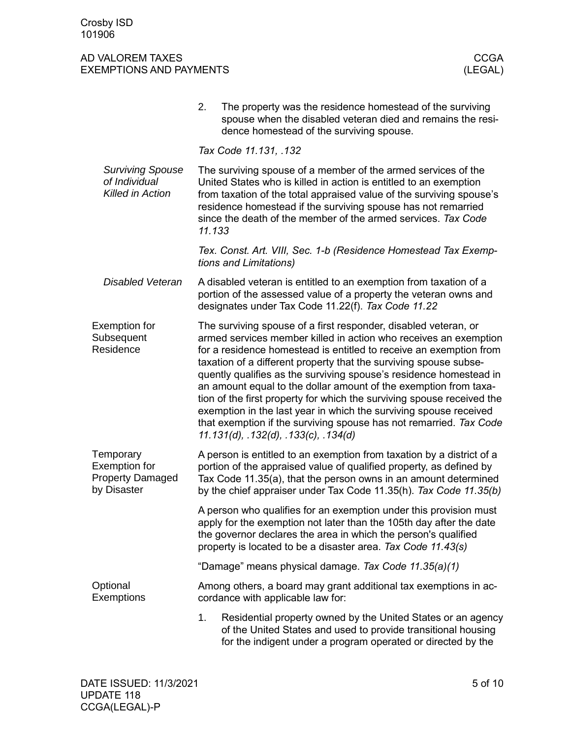<span id="page-4-2"></span><span id="page-4-1"></span><span id="page-4-0"></span>

|                                                                             | 2.<br>The property was the residence homestead of the surviving<br>spouse when the disabled veteran died and remains the resi-<br>dence homestead of the surviving spouse.                                                                                                                                                                                                                                                                                                                                                                                                                                                                                                            |  |  |  |
|-----------------------------------------------------------------------------|---------------------------------------------------------------------------------------------------------------------------------------------------------------------------------------------------------------------------------------------------------------------------------------------------------------------------------------------------------------------------------------------------------------------------------------------------------------------------------------------------------------------------------------------------------------------------------------------------------------------------------------------------------------------------------------|--|--|--|
|                                                                             | Tax Code 11.131, .132                                                                                                                                                                                                                                                                                                                                                                                                                                                                                                                                                                                                                                                                 |  |  |  |
| <b>Surviving Spouse</b><br>of Individual<br>Killed in Action                | The surviving spouse of a member of the armed services of the<br>United States who is killed in action is entitled to an exemption<br>from taxation of the total appraised value of the surviving spouse's<br>residence homestead if the surviving spouse has not remarried<br>since the death of the member of the armed services. Tax Code<br>11.133                                                                                                                                                                                                                                                                                                                                |  |  |  |
|                                                                             | Tex. Const. Art. VIII, Sec. 1-b (Residence Homestead Tax Exemp-<br>tions and Limitations)                                                                                                                                                                                                                                                                                                                                                                                                                                                                                                                                                                                             |  |  |  |
| <b>Disabled Veteran</b>                                                     | A disabled veteran is entitled to an exemption from taxation of a<br>portion of the assessed value of a property the veteran owns and<br>designates under Tax Code 11.22(f). Tax Code 11.22                                                                                                                                                                                                                                                                                                                                                                                                                                                                                           |  |  |  |
| <b>Exemption for</b><br>Subsequent<br>Residence                             | The surviving spouse of a first responder, disabled veteran, or<br>armed services member killed in action who receives an exemption<br>for a residence homestead is entitled to receive an exemption from<br>taxation of a different property that the surviving spouse subse-<br>quently qualifies as the surviving spouse's residence homestead in<br>an amount equal to the dollar amount of the exemption from taxa-<br>tion of the first property for which the surviving spouse received the<br>exemption in the last year in which the surviving spouse received<br>that exemption if the surviving spouse has not remarried. Tax Code<br>11.131(d), .132(d), .133(c), .134(d) |  |  |  |
| Temporary<br><b>Exemption for</b><br><b>Property Damaged</b><br>by Disaster | A person is entitled to an exemption from taxation by a district of a<br>portion of the appraised value of qualified property, as defined by<br>Tax Code 11.35(a), that the person owns in an amount determined<br>by the chief appraiser under Tax Code 11.35(h). Tax Code 11.35(b)                                                                                                                                                                                                                                                                                                                                                                                                  |  |  |  |
|                                                                             | A person who qualifies for an exemption under this provision must<br>apply for the exemption not later than the 105th day after the date<br>the governor declares the area in which the person's qualified<br>property is located to be a disaster area. Tax Code 11.43(s)                                                                                                                                                                                                                                                                                                                                                                                                            |  |  |  |
|                                                                             | "Damage" means physical damage. Tax Code 11.35(a)(1)                                                                                                                                                                                                                                                                                                                                                                                                                                                                                                                                                                                                                                  |  |  |  |
| Optional<br><b>Exemptions</b>                                               | Among others, a board may grant additional tax exemptions in ac-<br>cordance with applicable law for:                                                                                                                                                                                                                                                                                                                                                                                                                                                                                                                                                                                 |  |  |  |
|                                                                             | Residential property owned by the United States or an agency<br>1.<br>of the United States and used to provide transitional housing<br>for the indigent under a program operated or directed by the                                                                                                                                                                                                                                                                                                                                                                                                                                                                                   |  |  |  |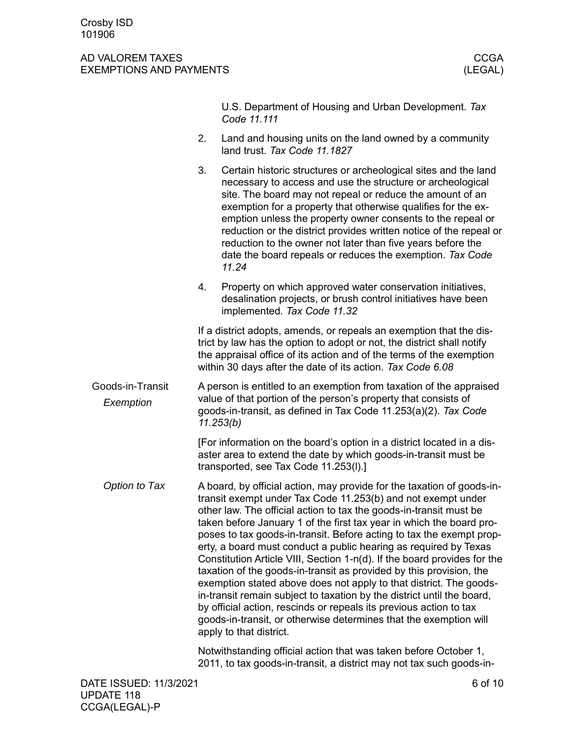#### AD VALOREM TAXES AND THE RESERVE TO A RESERVE THE RESERVE TO A RESERVE THE RESERVE TO A RESERVE THE RESERVE TO EXEMPTIONS AND PAYMENTS (LEGAL)

<span id="page-5-0"></span>U.S. Department of Housing and Urban Development. *Tax Code 11.111* 2. Land and housing units on the land owned by a community land trust. *Tax Code 11.1827* 3. Certain historic structures or archeological sites and the land necessary to access and use the structure or archeological site. The board may not repeal or reduce the amount of an exemption for a property that otherwise qualifies for the exemption unless the property owner consents to the repeal or reduction or the district provides written notice of the repeal or reduction to the owner not later than five years before the date the board repeals or reduces the exemption. *Tax Code 11.24* 4. Property on which approved water conservation initiatives, desalination projects, or brush control initiatives have been implemented. *Tax Code 11.32* If a district adopts, amends, or repeals an exemption that the district by law has the option to adopt or not, the district shall notify the appraisal office of its action and of the terms of the exemption within 30 days after the date of its action. *Tax Code 6.08* A person is entitled to an exemption from taxation of the appraised value of that portion of the person's property that consists of goods-in-transit, as defined in Tax Code 11.253(a)(2). *Tax Code 11.253(b)* [For information on the board's option in a district located in a disaster area to extend the date by which goods-in-transit must be transported, see Tax Code 11.253(l).] A board, by official action, may provide for the taxation of goods-intransit exempt under Tax Code 11.253(b) and not exempt under other law. The official action to tax the goods-in-transit must be taken before January 1 of the first tax year in which the board proposes to tax goods-in-transit. Before acting to tax the exempt property, a board must conduct a public hearing as required by Texas Constitution Article VIII, Section 1-n(d). If the board provides for the taxation of the goods-in-transit as provided by this provision, the exemption stated above does not apply to that district. The goodsin-transit remain subject to taxation by the district until the board, by official action, rescinds or repeals its previous action to tax goods-in-transit, or otherwise determines that the exemption will apply to that district. Notwithstanding official action that was taken before October 1, 2011, to tax goods-in-transit, a district may not tax such goods-in-Goods-in-Transit *Exemption Option to Tax*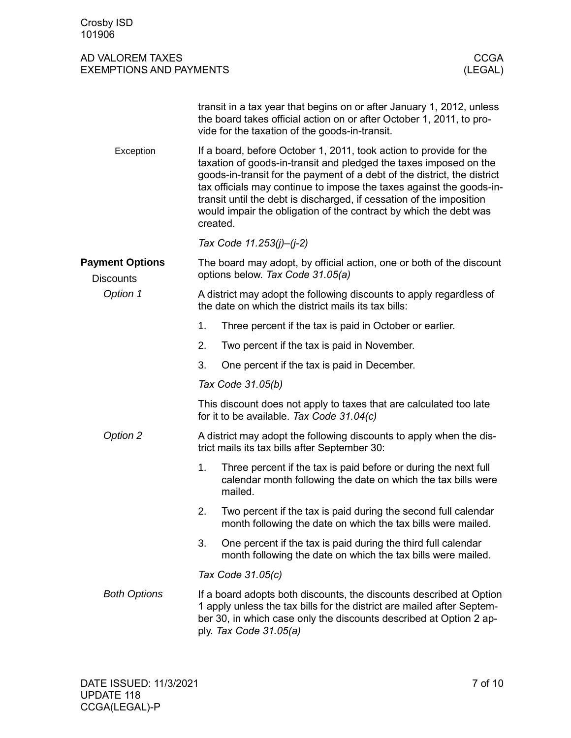<span id="page-6-1"></span><span id="page-6-0"></span>

| 101900                                             |                                                                                                                            |                                                                                                                                                                                                                                                                                                                                                                                                                                          |                        |  |
|----------------------------------------------------|----------------------------------------------------------------------------------------------------------------------------|------------------------------------------------------------------------------------------------------------------------------------------------------------------------------------------------------------------------------------------------------------------------------------------------------------------------------------------------------------------------------------------------------------------------------------------|------------------------|--|
| AD VALOREM TAXES<br><b>EXEMPTIONS AND PAYMENTS</b> |                                                                                                                            |                                                                                                                                                                                                                                                                                                                                                                                                                                          | <b>CCGA</b><br>(LEGAL) |  |
|                                                    |                                                                                                                            | transit in a tax year that begins on or after January 1, 2012, unless<br>the board takes official action on or after October 1, 2011, to pro-<br>vide for the taxation of the goods-in-transit.                                                                                                                                                                                                                                          |                        |  |
| Exception                                          | created.                                                                                                                   | If a board, before October 1, 2011, took action to provide for the<br>taxation of goods-in-transit and pledged the taxes imposed on the<br>goods-in-transit for the payment of a debt of the district, the district<br>tax officials may continue to impose the taxes against the goods-in-<br>transit until the debt is discharged, if cessation of the imposition<br>would impair the obligation of the contract by which the debt was |                        |  |
|                                                    | Tax Code 11.253(j)-(j-2)                                                                                                   |                                                                                                                                                                                                                                                                                                                                                                                                                                          |                        |  |
| <b>Payment Options</b><br><b>Discounts</b>         |                                                                                                                            | The board may adopt, by official action, one or both of the discount<br>options below. Tax Code 31.05(a)                                                                                                                                                                                                                                                                                                                                 |                        |  |
| Option 1                                           | A district may adopt the following discounts to apply regardless of<br>the date on which the district mails its tax bills: |                                                                                                                                                                                                                                                                                                                                                                                                                                          |                        |  |
|                                                    | 1.                                                                                                                         | Three percent if the tax is paid in October or earlier.                                                                                                                                                                                                                                                                                                                                                                                  |                        |  |
|                                                    | 2.                                                                                                                         | Two percent if the tax is paid in November.                                                                                                                                                                                                                                                                                                                                                                                              |                        |  |
|                                                    | 3.                                                                                                                         | One percent if the tax is paid in December.                                                                                                                                                                                                                                                                                                                                                                                              |                        |  |
|                                                    | Tax Code 31.05(b)                                                                                                          |                                                                                                                                                                                                                                                                                                                                                                                                                                          |                        |  |
|                                                    | This discount does not apply to taxes that are calculated too late<br>for it to be available. Tax Code 31.04(c)            |                                                                                                                                                                                                                                                                                                                                                                                                                                          |                        |  |
| Option 2                                           |                                                                                                                            | A district may adopt the following discounts to apply when the dis-<br>trict mails its tax bills after September 30:                                                                                                                                                                                                                                                                                                                     |                        |  |
|                                                    | 1.<br>mailed.                                                                                                              | Three percent if the tax is paid before or during the next full<br>calendar month following the date on which the tax bills were                                                                                                                                                                                                                                                                                                         |                        |  |
|                                                    | 2.                                                                                                                         | Two percent if the tax is paid during the second full calendar<br>month following the date on which the tax bills were mailed.                                                                                                                                                                                                                                                                                                           |                        |  |
|                                                    | 3.                                                                                                                         | One percent if the tax is paid during the third full calendar<br>month following the date on which the tax bills were mailed.                                                                                                                                                                                                                                                                                                            |                        |  |
|                                                    | Tax Code 31.05(c)                                                                                                          |                                                                                                                                                                                                                                                                                                                                                                                                                                          |                        |  |
| <b>Both Options</b>                                |                                                                                                                            | If a board adopts both discounts, the discounts described at Option<br>1 apply unless the tax bills for the district are mailed after Septem-<br>ber 30, in which case only the discounts described at Option 2 ap-<br>ply. Tax Code 31.05(a)                                                                                                                                                                                            |                        |  |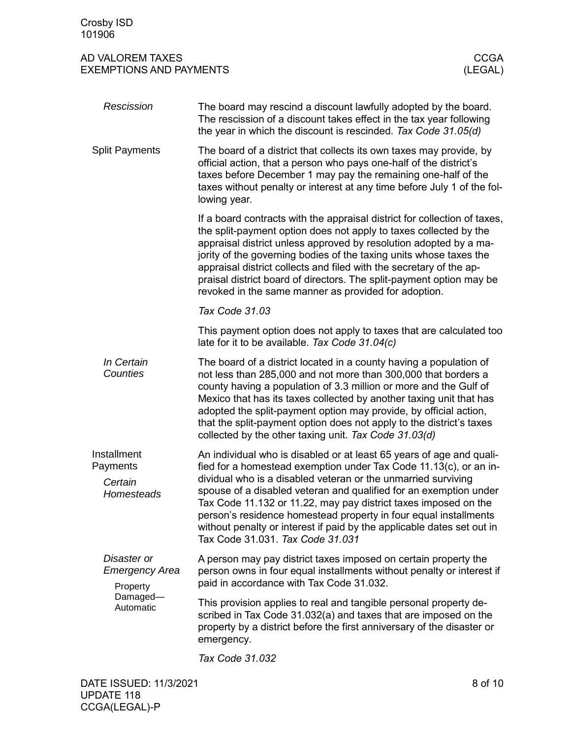| AD VALOREM TAXES               | <b>CCGA</b> |
|--------------------------------|-------------|
| <b>EXEMPTIONS AND PAYMENTS</b> | (LEGAL)     |

<span id="page-7-0"></span>

| Rescission                                                         | The board may rescind a discount lawfully adopted by the board.<br>The rescission of a discount takes effect in the tax year following<br>the year in which the discount is rescinded. Tax Code 31.05(d)                                                                                                                                                                                                                                                                                         |
|--------------------------------------------------------------------|--------------------------------------------------------------------------------------------------------------------------------------------------------------------------------------------------------------------------------------------------------------------------------------------------------------------------------------------------------------------------------------------------------------------------------------------------------------------------------------------------|
| <b>Split Payments</b>                                              | The board of a district that collects its own taxes may provide, by<br>official action, that a person who pays one-half of the district's<br>taxes before December 1 may pay the remaining one-half of the<br>taxes without penalty or interest at any time before July 1 of the fol-<br>lowing year.                                                                                                                                                                                            |
|                                                                    | If a board contracts with the appraisal district for collection of taxes,<br>the split-payment option does not apply to taxes collected by the<br>appraisal district unless approved by resolution adopted by a ma-<br>jority of the governing bodies of the taxing units whose taxes the<br>appraisal district collects and filed with the secretary of the ap-<br>praisal district board of directors. The split-payment option may be<br>revoked in the same manner as provided for adoption. |
|                                                                    | Tax Code 31.03                                                                                                                                                                                                                                                                                                                                                                                                                                                                                   |
|                                                                    | This payment option does not apply to taxes that are calculated too<br>late for it to be available. Tax Code 31.04(c)                                                                                                                                                                                                                                                                                                                                                                            |
| In Certain<br>Counties                                             | The board of a district located in a county having a population of<br>not less than 285,000 and not more than 300,000 that borders a<br>county having a population of 3.3 million or more and the Gulf of<br>Mexico that has its taxes collected by another taxing unit that has<br>adopted the split-payment option may provide, by official action,<br>that the split-payment option does not apply to the district's taxes<br>collected by the other taxing unit. Tax Code 31.03(d)           |
| Installment<br>Payments                                            | An individual who is disabled or at least 65 years of age and quali-<br>fied for a homestead exemption under Tax Code 11.13(c), or an in-                                                                                                                                                                                                                                                                                                                                                        |
| Certain<br>Homesteads                                              | dividual who is a disabled veteran or the unmarried surviving<br>spouse of a disabled veteran and qualified for an exemption under<br>Tax Code 11.132 or 11.22, may pay district taxes imposed on the<br>person's residence homestead property in four equal installments<br>without penalty or interest if paid by the applicable dates set out in<br>Tax Code 31.031. Tax Code 31.031                                                                                                          |
| Disaster or<br>Emergency Area<br>Property<br>Damaged-<br>Automatic | A person may pay district taxes imposed on certain property the<br>person owns in four equal installments without penalty or interest if<br>paid in accordance with Tax Code 31.032.                                                                                                                                                                                                                                                                                                             |
|                                                                    | This provision applies to real and tangible personal property de-<br>scribed in Tax Code 31.032(a) and taxes that are imposed on the<br>property by a district before the first anniversary of the disaster or<br>emergency.                                                                                                                                                                                                                                                                     |
|                                                                    |                                                                                                                                                                                                                                                                                                                                                                                                                                                                                                  |

<span id="page-7-1"></span>*Tax Code 31.032*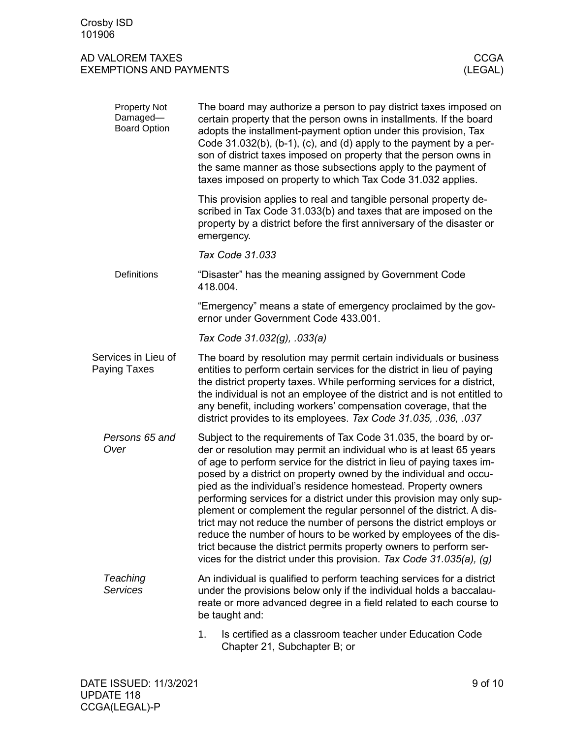<span id="page-8-0"></span>

| Property Not<br>Damaged-<br><b>Board Option</b> | The board may authorize a person to pay district taxes imposed on<br>certain property that the person owns in installments. If the board<br>adopts the installment-payment option under this provision, Tax<br>Code $31.032(b)$ , $(b-1)$ , $(c)$ , and $(d)$ apply to the payment by a per-<br>son of district taxes imposed on property that the person owns in<br>the same manner as those subsections apply to the payment of<br>taxes imposed on property to which Tax Code 31.032 applies.                                                                                                                                                                                                                                                                                                |  |  |
|-------------------------------------------------|-------------------------------------------------------------------------------------------------------------------------------------------------------------------------------------------------------------------------------------------------------------------------------------------------------------------------------------------------------------------------------------------------------------------------------------------------------------------------------------------------------------------------------------------------------------------------------------------------------------------------------------------------------------------------------------------------------------------------------------------------------------------------------------------------|--|--|
|                                                 | This provision applies to real and tangible personal property de-<br>scribed in Tax Code 31.033(b) and taxes that are imposed on the<br>property by a district before the first anniversary of the disaster or<br>emergency.                                                                                                                                                                                                                                                                                                                                                                                                                                                                                                                                                                    |  |  |
|                                                 | Tax Code 31.033                                                                                                                                                                                                                                                                                                                                                                                                                                                                                                                                                                                                                                                                                                                                                                                 |  |  |
| Definitions                                     | "Disaster" has the meaning assigned by Government Code<br>418.004.                                                                                                                                                                                                                                                                                                                                                                                                                                                                                                                                                                                                                                                                                                                              |  |  |
|                                                 | "Emergency" means a state of emergency proclaimed by the gov-<br>ernor under Government Code 433.001.                                                                                                                                                                                                                                                                                                                                                                                                                                                                                                                                                                                                                                                                                           |  |  |
|                                                 | Tax Code 31.032(g), .033(a)                                                                                                                                                                                                                                                                                                                                                                                                                                                                                                                                                                                                                                                                                                                                                                     |  |  |
| Services in Lieu of<br><b>Paying Taxes</b>      | The board by resolution may permit certain individuals or business<br>entities to perform certain services for the district in lieu of paying<br>the district property taxes. While performing services for a district,<br>the individual is not an employee of the district and is not entitled to<br>any benefit, including workers' compensation coverage, that the<br>district provides to its employees. Tax Code 31.035, .036, .037                                                                                                                                                                                                                                                                                                                                                       |  |  |
| Persons 65 and<br>Over                          | Subject to the requirements of Tax Code 31.035, the board by or-<br>der or resolution may permit an individual who is at least 65 years<br>of age to perform service for the district in lieu of paying taxes im-<br>posed by a district on property owned by the individual and occu-<br>pied as the individual's residence homestead. Property owners<br>performing services for a district under this provision may only sup-<br>plement or complement the regular personnel of the district. A dis-<br>trict may not reduce the number of persons the district employs or<br>reduce the number of hours to be worked by employees of the dis-<br>trict because the district permits property owners to perform ser-<br>vices for the district under this provision. Tax Code 31.035(a), (g) |  |  |
| Teaching<br><b>Services</b>                     | An individual is qualified to perform teaching services for a district<br>under the provisions below only if the individual holds a baccalau-<br>reate or more advanced degree in a field related to each course to<br>be taught and:                                                                                                                                                                                                                                                                                                                                                                                                                                                                                                                                                           |  |  |
|                                                 | Is certified as a classroom teacher under Education Code<br>1.<br>Chapter 21, Subchapter B; or                                                                                                                                                                                                                                                                                                                                                                                                                                                                                                                                                                                                                                                                                                  |  |  |